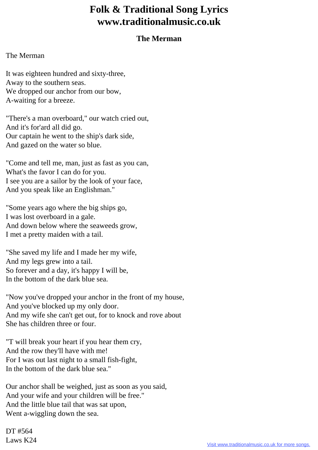## **Folk & Traditional Song Lyrics www.traditionalmusic.co.uk**

## **The Merman**

## The Merman

It was eighteen hundred and sixty-three, Away to the southern seas. We dropped our anchor from our bow, A-waiting for a breeze.

"There's a man overboard," our watch cried out, And it's for'ard all did go. Our captain he went to the ship's dark side, And gazed on the water so blue.

"Come and tell me, man, just as fast as you can, What's the favor I can do for you. I see you are a sailor by the look of your face, And you speak like an Englishman."

"Some years ago where the big ships go, I was lost overboard in a gale. And down below where the seaweeds grow, I met a pretty maiden with a tail.

"She saved my life and I made her my wife, And my legs grew into a tail. So forever and a day, it's happy I will be, In the bottom of the dark blue sea.

"Now you've dropped your anchor in the front of my house, And you've blocked up my only door. And my wife she can't get out, for to knock and rove about She has children three or four.

"T will break your heart if you hear them cry, And the row they'll have with me! For I was out last night to a small fish-fight, In the bottom of the dark blue sea."

Our anchor shall be weighed, just as soon as you said, And your wife and your children will be free." And the little blue tail that was sat upon, Went a-wiggling down the sea.

DT #564 Laws K24